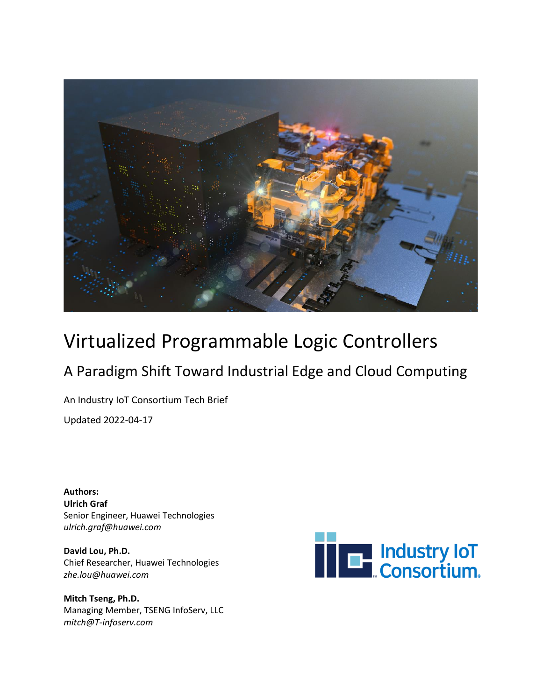

# Virtualized Programmable Logic Controllers

## A Paradigm Shift Toward Industrial Edge and Cloud Computing

An Industry IoT Consortium Tech Brief

Updated 2022-04-17

**Authors: Ulrich Graf** Senior Engineer, Huawei Technologies *[ulrich.graf@huawei.com](mailto:ulrich.graf@huawei.com)*

**David Lou, Ph.D.** Chief Researcher, Huawei Technologies *[zhe.lou@huawei.com](mailto:zhe.lou@huawei.com)*

**Mitch Tseng, Ph.D.** Managing Member, TSENG InfoServ, LLC *[mitch@T-infoserv.com](mailto:mitch@T-infoserv.com)*

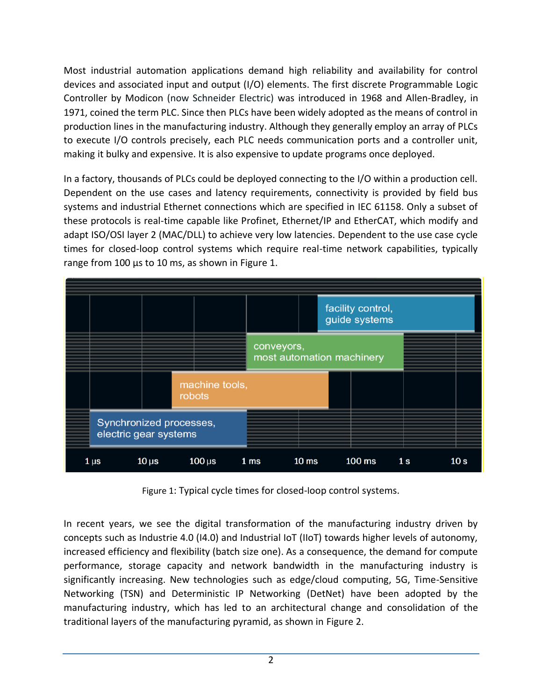Most industrial automation applications demand high reliability and availability for control devices and associated input and output (I/O) elements. The first discrete Programmable Logic Controller by Modicon (now Schneider Electric) was introduced in 1968 and Allen-Bradley, in 1971, coined the term PLC. Since then PLCs have been widely adopted as the means of control in production lines in the manufacturing industry. Although they generally employ an array of PLCs to execute I/O controls precisely, each PLC needs communication ports and a controller unit, making it bulky and expensive. It is also expensive to update programs once deployed.

In a factory, thousands of PLCs could be deployed connecting to the I/O within a production cell. Dependent on the use cases and latency requirements, connectivity is provided by field bus systems and industrial Ethernet connections which are specified in IEC 61158. Only a subset of these protocols is real-time capable like Profinet, Ethernet/IP and EtherCAT, which modify and adapt ISO/OSI layer 2 (MAC/DLL) to achieve very low latencies. Dependent to the use case cycle times for closed-loop control systems which require real-time network capabilities, typically range from 100 us to 10 ms, as shown in [Figure 1.](#page-1-0)



Figure 1: Typical cycle times for closed-loop control systems.

<span id="page-1-0"></span>In recent years, we see the digital transformation of the manufacturing industry driven by concepts such as Industrie 4.0 (I4.0) and Industrial IoT (IIoT) towards higher levels of autonomy, increased efficiency and flexibility (batch size one). As a consequence, the demand for compute performance, storage capacity and network bandwidth in the manufacturing industry is significantly increasing. New technologies such as edge/cloud computing, 5G, Time-Sensitive Networking (TSN) and Deterministic IP Networking (DetNet) have been adopted by the manufacturing industry, which has led to an architectural change and consolidation of the traditional layers of the manufacturing pyramid, as shown in [Figure 2.](#page-2-0)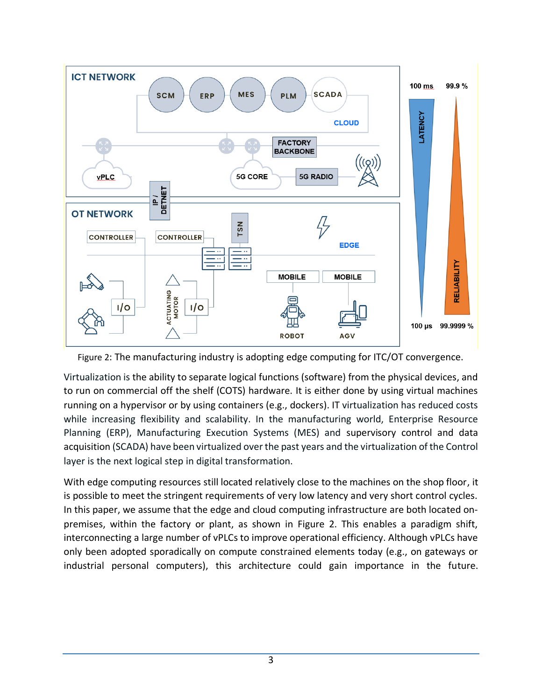

<span id="page-2-0"></span>Figure 2: The manufacturing industry is adopting edge computing for ITC/OT convergence.

Virtualization is the ability to separate logical functions (software) from the physical devices, and to run on commercial off the shelf (COTS) hardware. It is either done by using virtual machines running on a hypervisor or by using containers (e.g., dockers). IT virtualization has reduced costs while increasing flexibility and scalability. In the manufacturing world, Enterprise Resource Planning (ERP), Manufacturing Execution Systems (MES) and supervisory control and data acquisition (SCADA) have been virtualized over the past years and the virtualization of the Control layer is the next logical step in digital transformation.

With edge computing resources still located relatively close to the machines on the shop floor, it is possible to meet the stringent requirements of very low latency and very short control cycles. In this paper, we assume that the edge and cloud computing infrastructure are both located onpremises, within the factory or plant, as shown in [Figure 2.](#page-2-0) This enables a paradigm shift, interconnecting a large number of vPLCs to improve operational efficiency. Although vPLCs have only been adopted sporadically on compute constrained elements today (e.g., on gateways or industrial personal computers), this architecture could gain importance in the future.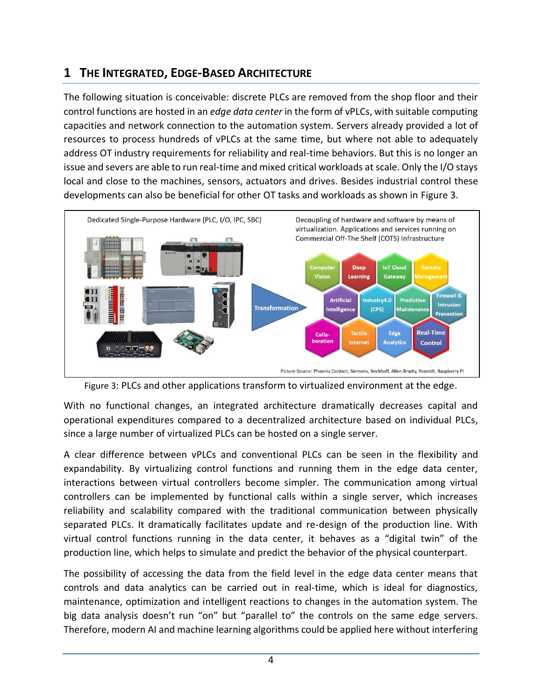### **1 THE INTEGRATED, EDGE-BASED ARCHITECTURE**

The following situation is conceivable: discrete PLCs are removed from the shop floor and their control functions are hosted in an *edge data center* in the form of vPLCs, with suitable computing capacities and network connection to the automation system. Servers already provided a lot of resources to process hundreds of vPLCs at the same time, but where not able to adequately address OT industry requirements for reliability and real-time behaviors. But this is no longer an issue and severs are able to run real-time and mixed critical workloads at scale. Only the I/O stays local and close to the machines, sensors, actuators and drives. Besides industrial control these developments can also be beneficial for other OT tasks and workloads as shown in [Figure 3.](#page-3-0)





<span id="page-3-0"></span>With no functional changes, an integrated architecture dramatically decreases capital and operational expenditures compared to a decentralized architecture based on individual PLCs, since a large number of virtualized PLCs can be hosted on a single server.

A clear difference between vPLCs and conventional PLCs can be seen in the flexibility and expandability. By virtualizing control functions and running them in the edge data center, interactions between virtual controllers become simpler. The communication among virtual controllers can be implemented by functional calls within a single server, which increases reliability and scalability compared with the traditional communication between physically separated PLCs. It dramatically facilitates update and re-design of the production line. With virtual control functions running in the data center, it behaves as a "digital twin" of the production line, which helps to simulate and predict the behavior of the physical counterpart.

The possibility of accessing the data from the field level in the edge data center means that controls and data analytics can be carried out in real-time, which is ideal for diagnostics, maintenance, optimization and intelligent reactions to changes in the automation system. The big data analysis doesn't run "on" but "parallel to" the controls on the same edge servers. Therefore, modern AI and machine learning algorithms could be applied here without interfering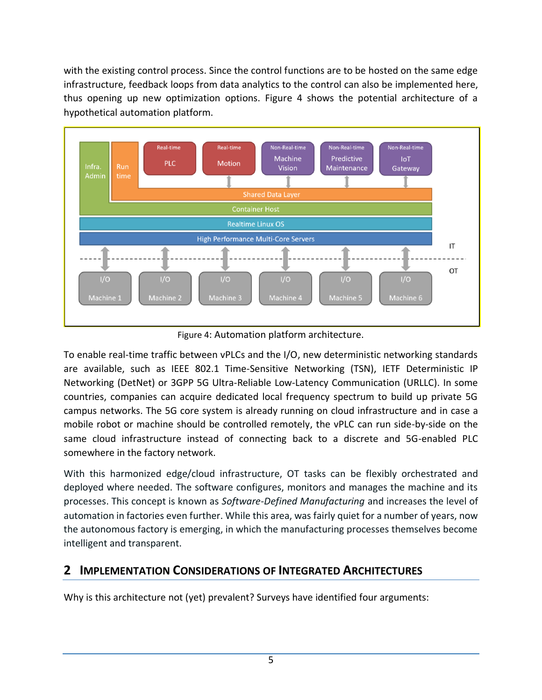with the existing control process. Since the control functions are to be hosted on the same edge infrastructure, feedback loops from data analytics to the control can also be implemented here, thus opening up new optimization options. [Figure 4](#page-4-0) shows the potential architecture of a hypothetical automation platform.



Figure 4: Automation platform architecture.

<span id="page-4-0"></span>To enable real-time traffic between vPLCs and the I/O, new deterministic networking standards are available, such as IEEE 802.1 Time-Sensitive Networking (TSN), IETF Deterministic IP Networking (DetNet) or 3GPP 5G Ultra-Reliable Low-Latency Communication (URLLC). In some countries, companies can acquire dedicated local frequency spectrum to build up private 5G campus networks. The 5G core system is already running on cloud infrastructure and in case a mobile robot or machine should be controlled remotely, the vPLC can run side-by-side on the same cloud infrastructure instead of connecting back to a discrete and 5G-enabled PLC somewhere in the factory network.

With this harmonized edge/cloud infrastructure, OT tasks can be flexibly orchestrated and deployed where needed. The software configures, monitors and manages the machine and its processes. This concept is known as *Software-Defined Manufacturing* and increases the level of automation in factories even further. While this area, was fairly quiet for a number of years, now the autonomous factory is emerging, in which the manufacturing processes themselves become intelligent and transparent.

#### **2 IMPLEMENTATION CONSIDERATIONS OF INTEGRATED ARCHITECTURES**

Why is this architecture not (yet) prevalent? Surveys have identified four arguments: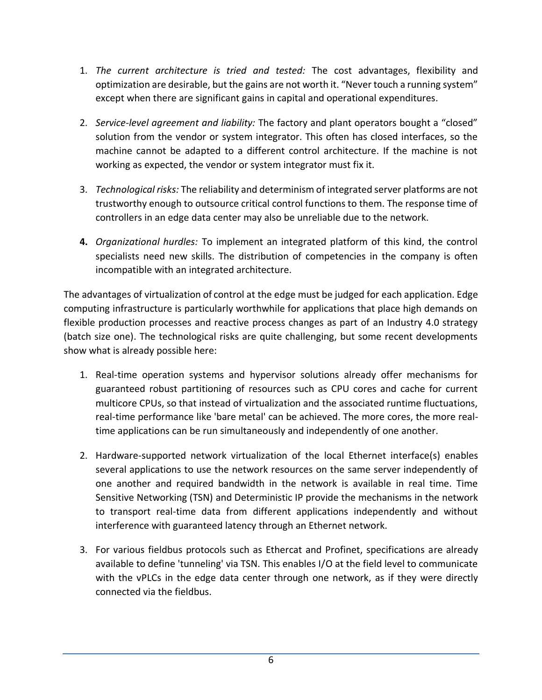- 1. *The current architecture is tried and tested:* The cost advantages, flexibility and optimization are desirable, but the gains are not worth it. "Never touch a running system" except when there are significant gains in capital and operational expenditures.
- 2. *Service-level agreement and liability:* The factory and plant operators bought a "closed" solution from the vendor or system integrator. This often has closed interfaces, so the machine cannot be adapted to a different control architecture. If the machine is not working as expected, the vendor or system integrator must fix it.
- 3. *Technological risks:* The reliability and determinism of integrated server platforms are not trustworthy enough to outsource critical control functions to them. The response time of controllers in an edge data center may also be unreliable due to the network.
- **4.** *Organizational hurdles:* To implement an integrated platform of this kind, the control specialists need new skills. The distribution of competencies in the company is often incompatible with an integrated architecture.

The advantages of virtualization of control at the edge must be judged for each application. Edge computing infrastructure is particularly worthwhile for applications that place high demands on flexible production processes and reactive process changes as part of an Industry 4.0 strategy (batch size one). The technological risks are quite challenging, but some recent developments show what is already possible here:

- 1. Real-time operation systems and hypervisor solutions already offer mechanisms for guaranteed robust partitioning of resources such as CPU cores and cache for current multicore CPUs, so that instead of virtualization and the associated runtime fluctuations, real-time performance like 'bare metal' can be achieved. The more cores, the more realtime applications can be run simultaneously and independently of one another.
- 2. Hardware-supported network virtualization of the local Ethernet interface(s) enables several applications to use the network resources on the same server independently of one another and required bandwidth in the network is available in real time. Time Sensitive Networking (TSN) and Deterministic IP provide the mechanisms in the network to transport real-time data from different applications independently and without interference with guaranteed latency through an Ethernet network.
- 3. For various fieldbus protocols such as Ethercat and Profinet, specifications are already available to define 'tunneling' via TSN. This enables I/O at the field level to communicate with the vPLCs in the edge data center through one network, as if they were directly connected via the fieldbus.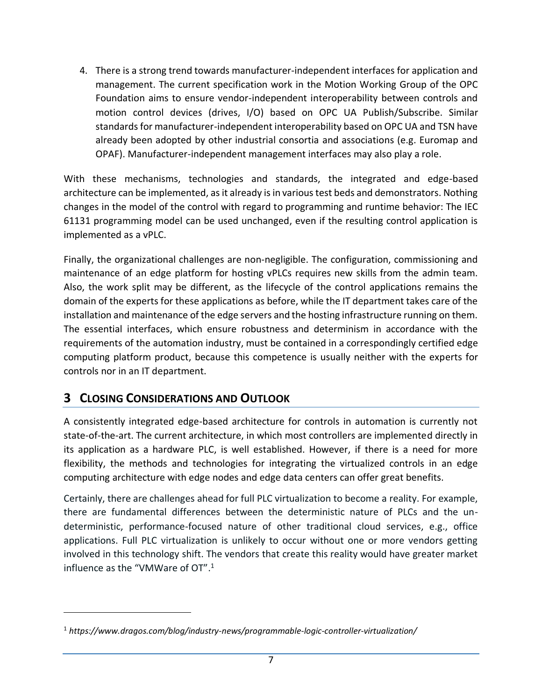4. There is a strong trend towards manufacturer-independent interfaces for application and management. The current specification work in the Motion Working Group of the OPC Foundation aims to ensure vendor-independent interoperability between controls and motion control devices (drives, I/O) based on OPC UA Publish/Subscribe. Similar standards for manufacturer-independent interoperability based on OPC UA and TSN have already been adopted by other industrial consortia and associations (e.g. Euromap and OPAF). Manufacturer-independent management interfaces may also play a role.

With these mechanisms, technologies and standards, the integrated and edge-based architecture can be implemented, as it already is in various test beds and demonstrators. Nothing changes in the model of the control with regard to programming and runtime behavior: The IEC 61131 programming model can be used unchanged, even if the resulting control application is implemented as a vPLC.

Finally, the organizational challenges are non-negligible. The configuration, commissioning and maintenance of an edge platform for hosting vPLCs requires new skills from the admin team. Also, the work split may be different, as the lifecycle of the control applications remains the domain of the experts for these applications as before, while the IT department takes care of the installation and maintenance of the edge servers and the hosting infrastructure running on them. The essential interfaces, which ensure robustness and determinism in accordance with the requirements of the automation industry, must be contained in a correspondingly certified edge computing platform product, because this competence is usually neither with the experts for controls nor in an IT department.

#### **3 CLOSING CONSIDERATIONS AND OUTLOOK**

A consistently integrated edge-based architecture for controls in automation is currently not state-of-the-art. The current architecture, in which most controllers are implemented directly in its application as a hardware PLC, is well established. However, if there is a need for more flexibility, the methods and technologies for integrating the virtualized controls in an edge computing architecture with edge nodes and edge data centers can offer great benefits.

Certainly, there are challenges ahead for full PLC virtualization to become a reality. For example, there are fundamental differences between the deterministic nature of PLCs and the undeterministic, performance-focused nature of other traditional cloud services, e.g., office applications. Full PLC virtualization is unlikely to occur without one or more vendors getting involved in this technology shift. The vendors that create this reality would have greater market influence as the "VMWare of OT". 1

<sup>1</sup> *<https://www.dragos.com/blog/industry-news/programmable-logic-controller-virtualization/>*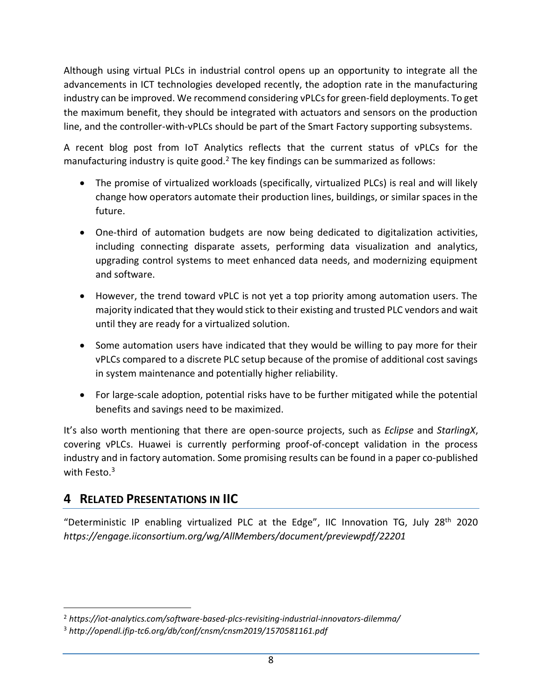Although using virtual PLCs in industrial control opens up an opportunity to integrate all the advancements in ICT technologies developed recently, the adoption rate in the manufacturing industry can be improved. We recommend considering vPLCs for green-field deployments. To get the maximum benefit, they should be integrated with actuators and sensors on the production line, and the controller-with-vPLCs should be part of the Smart Factory supporting subsystems.

A recent blog post from IoT Analytics reflects that the current status of vPLCs for the manufacturing industry is quite good.<sup>2</sup> The key findings can be summarized as follows:

- The promise of virtualized workloads (specifically, virtualized PLCs) is real and will likely change how operators automate their production lines, buildings, or similar spaces in the future.
- One-third of automation budgets are now being dedicated to digitalization activities, including connecting disparate assets, performing data visualization and analytics, upgrading control systems to meet enhanced data needs, and modernizing equipment and software.
- However, the trend toward vPLC is not yet a top priority among automation users. The majority indicated that they would stick to their existing and trusted PLC vendors and wait until they are ready for a virtualized solution.
- Some automation users have indicated that they would be willing to pay more for their vPLCs compared to a discrete PLC setup because of the promise of additional cost savings in system maintenance and potentially higher reliability.
- For large-scale adoption, potential risks have to be further mitigated while the potential benefits and savings need to be maximized.

It's also worth mentioning that there are open-source projects, such as *[Eclipse](https://www.eclipse.org/4diac/)* and *[StarlingX](https://www.starlingx.io/)*, covering vPLCs. Huawei is currently performing proof-of-concept validation in the process industry and in factory automation. Some promising results can be found in a paper co-published with Festo. 3

#### **4 RELATED PRESENTATIONS IN IIC**

"Deterministic IP enabling virtualized PLC at the Edge", IIC Innovation TG, July  $28<sup>th</sup>$  2020 *<https://engage.iiconsortium.org/wg/AllMembers/document/previewpdf/22201>*

<sup>2</sup> *<https://iot-analytics.com/software-based-plcs-revisiting-industrial-innovators-dilemma/>*

<sup>3</sup> *<http://opendl.ifip-tc6.org/db/conf/cnsm/cnsm2019/1570581161.pdf>*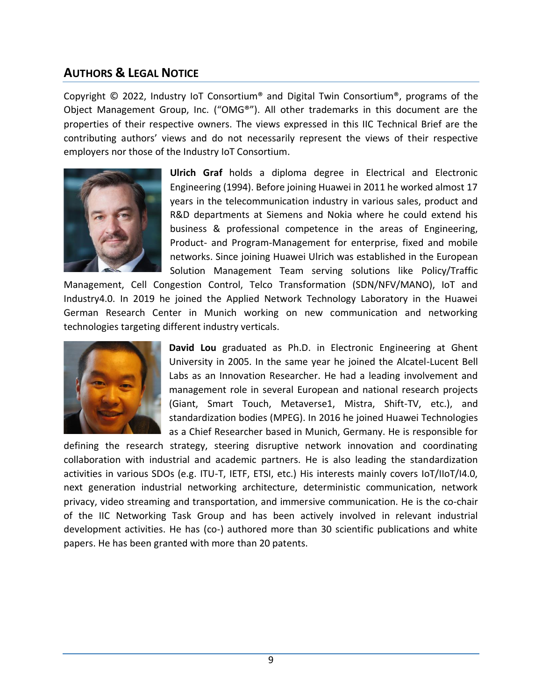#### **AUTHORS & LEGAL NOTICE**

Copyright © 2022, Industry IoT Consortium® and Digital Twin Consortium®, programs of the Object Management Group, Inc. ("OMG®"). All other trademarks in this document are the properties of their respective owners. The views expressed in this IIC Technical Brief are the contributing authors' views and do not necessarily represent the views of their respective employers nor those of the Industry IoT Consortium.



**Ulrich Graf** holds a diploma degree in Electrical and Electronic Engineering (1994). Before joining Huawei in 2011 he worked almost 17 years in the telecommunication industry in various sales, product and R&D departments at Siemens and Nokia where he could extend his business & professional competence in the areas of Engineering, Product- and Program-Management for enterprise, fixed and mobile networks. Since joining Huawei Ulrich was established in the European Solution Management Team serving solutions like Policy/Traffic

Management, Cell Congestion Control, Telco Transformation (SDN/NFV/MANO), IoT and Industry4.0. In 2019 he joined the Applied Network Technology Laboratory in the Huawei German Research Center in Munich working on new communication and networking technologies targeting different industry verticals.



**David Lou** graduated as Ph.D. in Electronic Engineering at Ghent University in 2005. In the same year he joined the Alcatel-Lucent Bell Labs as an Innovation Researcher. He had a leading involvement and management role in several European and national research projects (Giant, Smart Touch, Metaverse1, Mistra, Shift-TV, etc.), and standardization bodies (MPEG). In 2016 he joined Huawei Technologies as a Chief Researcher based in Munich, Germany. He is responsible for

defining the research strategy, steering disruptive network innovation and coordinating collaboration with industrial and academic partners. He is also leading the standardization activities in various SDOs (e.g. ITU-T, IETF, ETSI, etc.) His interests mainly covers IoT/IIoT/I4.0, next generation industrial networking architecture, deterministic communication, network privacy, video streaming and transportation, and immersive communication. He is the co-chair of the IIC Networking Task Group and has been actively involved in relevant industrial development activities. He has (co-) authored more than 30 scientific publications and white papers. He has been granted with more than 20 patents.